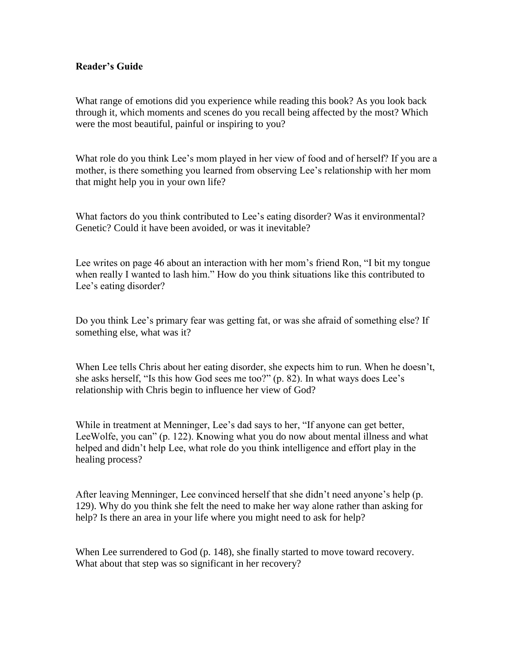## **Reader's Guide**

What range of emotions did you experience while reading this book? As you look back through it, which moments and scenes do you recall being affected by the most? Which were the most beautiful, painful or inspiring to you?

What role do you think Lee's mom played in her view of food and of herself? If you are a mother, is there something you learned from observing Lee's relationship with her mom that might help you in your own life?

What factors do you think contributed to Lee's eating disorder? Was it environmental? Genetic? Could it have been avoided, or was it inevitable?

Lee writes on page 46 about an interaction with her mom's friend Ron, "I bit my tongue when really I wanted to lash him." How do you think situations like this contributed to Lee's eating disorder?

Do you think Lee's primary fear was getting fat, or was she afraid of something else? If something else, what was it?

When Lee tells Chris about her eating disorder, she expects him to run. When he doesn't, she asks herself, "Is this how God sees me too?" (p. 82). In what ways does Lee's relationship with Chris begin to influence her view of God?

While in treatment at Menninger, Lee's dad says to her, "If anyone can get better, LeeWolfe, you can" (p. 122). Knowing what you do now about mental illness and what helped and didn't help Lee, what role do you think intelligence and effort play in the healing process?

After leaving Menninger, Lee convinced herself that she didn't need anyone's help (p. 129). Why do you think she felt the need to make her way alone rather than asking for help? Is there an area in your life where you might need to ask for help?

When Lee surrendered to God (p. 148), she finally started to move toward recovery. What about that step was so significant in her recovery?